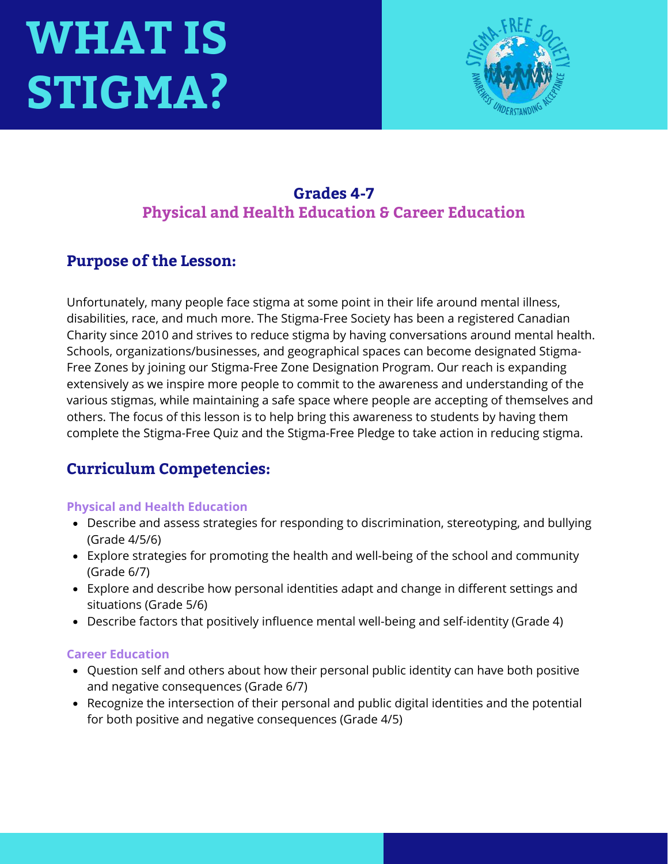# **WHAT IS STIGMA?**



# **Grades 4-7 Physical and Health Education & Career Education**

## **Purpose of the Lesson:**

Unfortunately, many people face stigma at some point in their life around mental illness, disabilities, race, and much more. The Stigma-Free Society has been a registered Canadian Charity since 2010 and strives to reduce stigma by having conversations around mental health. Schools, organizations/businesses, and geographical spaces can become designated Stigma-Free Zones by joining our Stigma-Free Zone Designation Program. Our reach is expanding extensively as we inspire more people to commit to the awareness and understanding of the various stigmas, while maintaining a safe space where people are accepting of themselves and others. The focus of this lesson is to help bring this awareness to students by having them complete the Stigma-Free Quiz and the Stigma-Free Pledge to take action in reducing stigma.

# **Curriculum Competencies:**

### **Physical and Health Education**

- Describe and assess strategies for responding to discrimination, stereotyping, and bullying (Grade 4/5/6)
- Explore strategies for promoting the health and well-being of the school and community (Grade 6/7)
- Explore and describe how personal identities adapt and change in different settings and situations (Grade 5/6)
- Describe factors that positively influence mental well-being and self-identity (Grade 4)

#### **Career Education**

- Question self and others about how their personal public identity can have both positive and negative consequences (Grade 6/7)
- Recognize the intersection of their personal and public digital identities and the potential for both positive and negative consequences (Grade 4/5)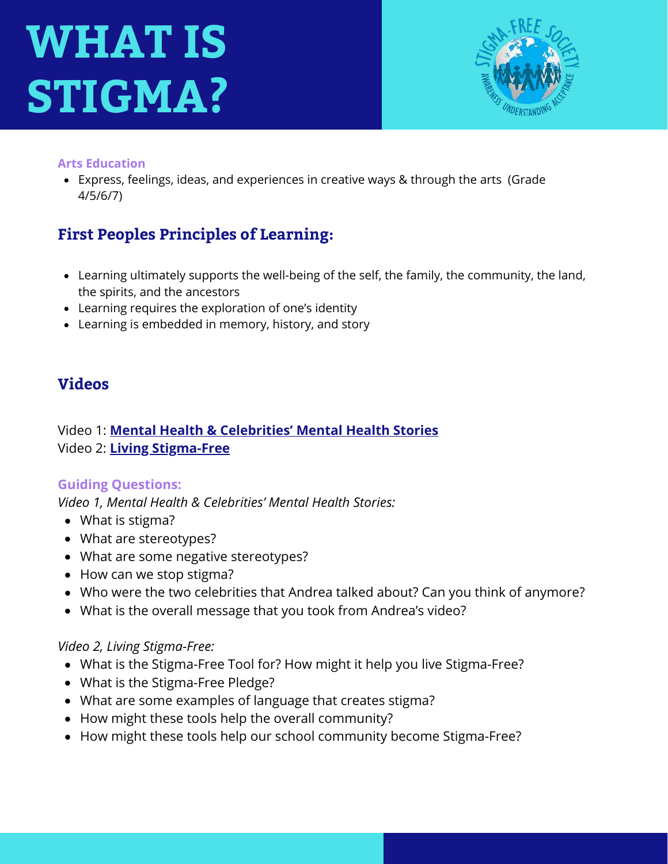# **WHAT IS STIGMA?**



#### **Arts Education**

Express, feelings, ideas, and experiences in creative ways & through the arts (Grade 4/5/6/7)

# **First Peoples Principles of Learning:**

- Learning ultimately supports the well-being of the self, the family, the community, the land, the spirits, and the ancestors
- Learning requires the exploration of one's identity
- Learning is embedded in memory, history, and story

### **Videos**

### Video 1: **[Mental Health & Celebrities' Mental Health Stories](https://studentmentalhealthtoolkit.com/teens-corner/video-library/)** Video 2: **[Living Stigma-Free](https://studentmentalhealthtoolkit.com/teens-corner/video-library/)**

### **Guiding Questions:**

*Video 1, Mental Health & Celebrities' Mental Health Stories:* 

- What is stigma?
- What are stereotypes?
- What are some negative stereotypes?
- How can we stop stigma?
- Who were the two celebrities that Andrea talked about? Can you think of anymore?
- What is the overall message that you took from Andrea's video?

### *Video 2, Living Stigma-Free:*

- What is the Stigma-Free Tool for? How might it help you live Stigma-Free?
- What is the Stigma-Free Pledge?
- What are some examples of language that creates stigma?
- How might these tools help the overall community?
- How might these tools help our school community become Stigma-Free?